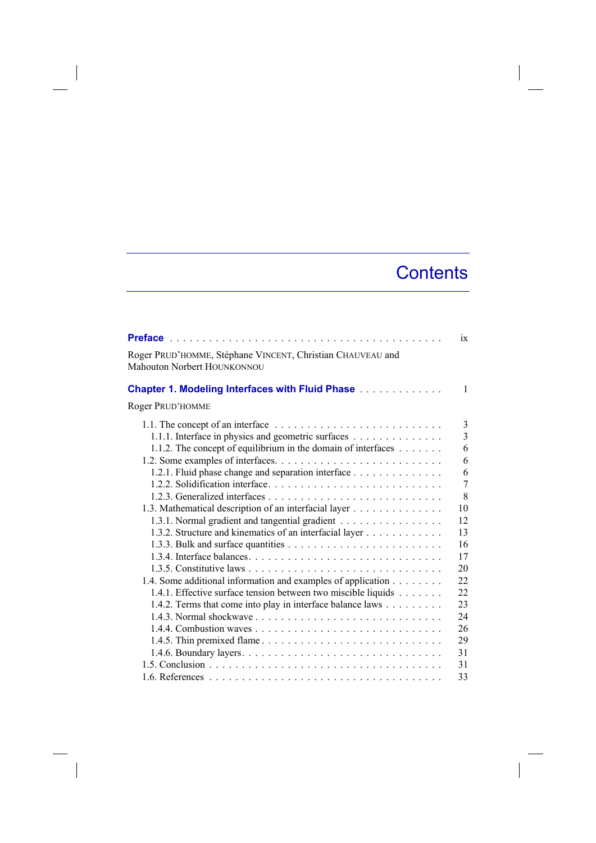## **Contents**

|                                                                                                | $\overline{1}x$ |
|------------------------------------------------------------------------------------------------|-----------------|
| Roger PRUD'HOMME, Stéphane VINCENT, Christian CHAUVEAU and<br>Mahouton Norbert HOUNKONNOU      |                 |
| <b>Chapter 1. Modeling Interfaces with Fluid Phase Administration</b>                          | $\mathbf{1}$    |
| Roger PRUD'HOMME                                                                               |                 |
| 1.1. The concept of an interface $\dots \dots \dots \dots \dots \dots \dots \dots \dots \dots$ | 3               |
| 1.1.1. Interface in physics and geometric surfaces                                             | $\overline{3}$  |
| 1.1.2. The concept of equilibrium in the domain of interfaces                                  | 6               |
|                                                                                                | 6               |
| 1.2.1. Fluid phase change and separation interface                                             | 6               |
|                                                                                                | 7               |
|                                                                                                | 8               |
| 1.3. Mathematical description of an interfacial layer                                          | 10              |
| 1.3.1. Normal gradient and tangential gradient                                                 | 12              |
| 1.3.2. Structure and kinematics of an interfacial layer                                        | 13              |
|                                                                                                | 16              |
|                                                                                                | 17              |
|                                                                                                | 20              |
| 1.4. Some additional information and examples of application                                   | 22              |
| 1.4.1. Effective surface tension between two miscible liquids                                  | 22              |
| 1.4.2. Terms that come into play in interface balance laws                                     | 23              |
|                                                                                                | 24              |
|                                                                                                | 26              |
|                                                                                                | 29              |
|                                                                                                | 31              |
|                                                                                                | 31              |
|                                                                                                | 33              |

 $\overline{\phantom{a}}$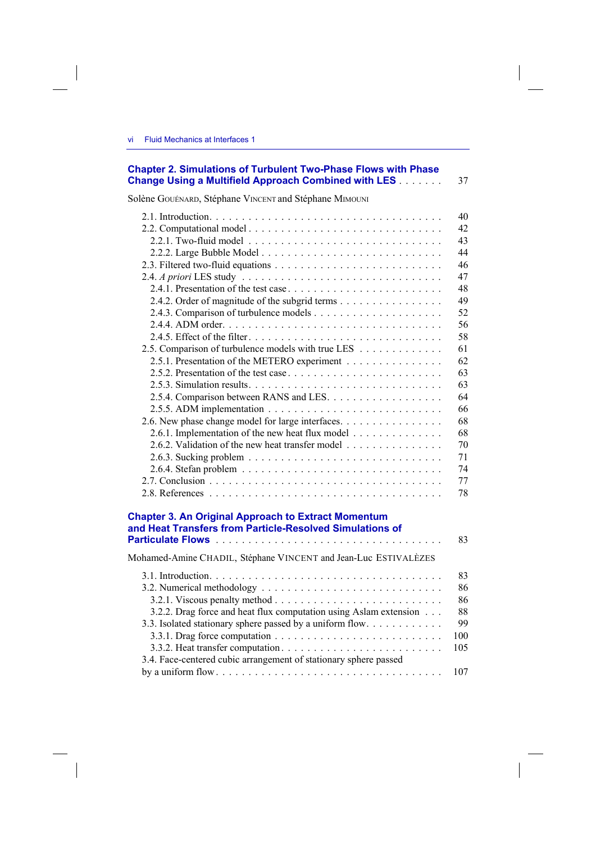## **Chapter 2. Simulations of Turbulent Two-Phase Flows with Phase Change Using a Multifield Approach Combined with LES** . . . . . . . 37

Solène GOUÉNARD, Stéphane VINCENT and Stéphane MIMOUNI

|                                                                                                                        | 40             |
|------------------------------------------------------------------------------------------------------------------------|----------------|
|                                                                                                                        | 42             |
|                                                                                                                        | 43             |
|                                                                                                                        | 44             |
|                                                                                                                        | 46             |
|                                                                                                                        | 47             |
|                                                                                                                        | 48             |
| 2.4.2. Order of magnitude of the subgrid terms                                                                         | 49             |
|                                                                                                                        | 52             |
|                                                                                                                        | 56             |
|                                                                                                                        | 58             |
| 2.5. Comparison of turbulence models with true LES                                                                     | 61             |
| 2.5.1. Presentation of the METERO experiment                                                                           | 62             |
|                                                                                                                        | 63             |
|                                                                                                                        | 63             |
|                                                                                                                        | 64             |
|                                                                                                                        | 66             |
| 2.6. New phase change model for large interfaces.                                                                      | 68             |
| 2.6.1. Implementation of the new heat flux model                                                                       | 68             |
| 2.6.2. Validation of the new heat transfer model                                                                       | 70             |
|                                                                                                                        | 71             |
|                                                                                                                        | 74             |
|                                                                                                                        | 77             |
|                                                                                                                        | 78             |
| <b>Chapter 3. An Original Approach to Extract Momentum</b><br>and Heat Transfers from Particle-Resolved Simulations of | 83             |
| Mohamed-Amine CHADIL, Stéphane VINCENT and Jean-Luc ESTIVALÈZES                                                        |                |
|                                                                                                                        | 83<br>86<br>86 |
|                                                                                                                        |                |

3.2.2. Drag force and heat flux computation using Aslam extension . . . 88 3.3. Isolated stationary sphere passed by a uniform flow . . . . . . . . . . . . . . 99 3.3.1. Drag force computation . . . . . . . . . . . . . . . . . . . . . . . . . . 100 3.3.2. Heat transfer computation . . . . . . . . . . . . . . . . . . . . . . . . . 105

by a uniform flow . . . . . . . . . . . . . . . . . . . . . . . . . . . . . . . . . . . 107

3.4. Face-centered cubic arrangement of stationary sphere passed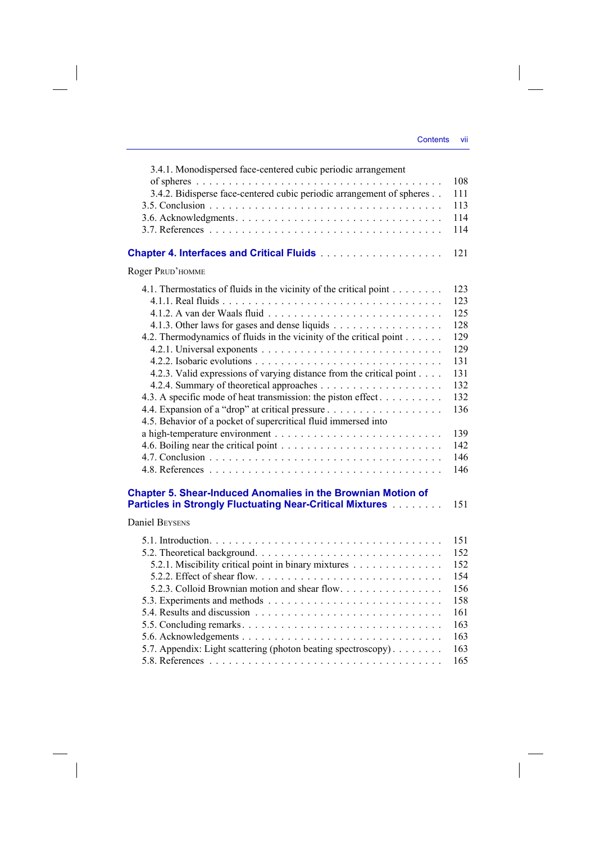$\overline{\phantom{a}}$ 

| 3.4.1. Monodispersed face-centered cubic periodic arrangement                                                                                                                    |            |
|----------------------------------------------------------------------------------------------------------------------------------------------------------------------------------|------------|
| of spheres $\ldots \ldots \ldots \ldots \ldots \ldots \ldots \ldots \ldots \ldots \ldots \ldots \ldots$<br>3.4.2. Bidisperse face-centered cubic periodic arrangement of spheres | 108<br>111 |
|                                                                                                                                                                                  | 113        |
|                                                                                                                                                                                  | 114        |
|                                                                                                                                                                                  | 114        |
|                                                                                                                                                                                  | 121        |
| Roger PRUD'HOMME                                                                                                                                                                 |            |
| 4.1. Thermostatics of fluids in the vicinity of the critical point                                                                                                               | 123        |
|                                                                                                                                                                                  | 123        |
|                                                                                                                                                                                  | 125        |
| 4.1.3. Other laws for gases and dense liquids                                                                                                                                    | 128        |
| 4.2. Thermodynamics of fluids in the vicinity of the critical point                                                                                                              | 129        |
|                                                                                                                                                                                  | 129        |
|                                                                                                                                                                                  | 131        |
| 4.2.3. Valid expressions of varying distance from the critical point                                                                                                             | 131        |
|                                                                                                                                                                                  | 132        |
| 4.3. A specific mode of heat transmission: the piston effect                                                                                                                     | 132        |
|                                                                                                                                                                                  | 136        |
| 4.5. Behavior of a pocket of supercritical fluid immersed into                                                                                                                   | 139        |
|                                                                                                                                                                                  | 142        |
|                                                                                                                                                                                  | 146        |
|                                                                                                                                                                                  | 146        |
|                                                                                                                                                                                  |            |
| <b>Chapter 5. Shear-Induced Anomalies in the Brownian Motion of</b>                                                                                                              | 151        |
| <b>Particles in Strongly Fluctuating Near-Critical Mixtures [1996]</b>                                                                                                           |            |
| <b>Daniel BEYSENS</b>                                                                                                                                                            |            |
|                                                                                                                                                                                  | 151        |
|                                                                                                                                                                                  | 152        |
| 5.2.1. Miscibility critical point in binary mixtures                                                                                                                             | 152        |
|                                                                                                                                                                                  | 154        |
| 5.2.3. Colloid Brownian motion and shear flow.                                                                                                                                   | 156        |
|                                                                                                                                                                                  | 158        |
|                                                                                                                                                                                  | 161        |
| 5.5. Concluding remarks                                                                                                                                                          | 163        |
|                                                                                                                                                                                  | 163        |
| 5.7. Appendix: Light scattering (photon beating spectroscopy).                                                                                                                   | 163<br>165 |
|                                                                                                                                                                                  |            |

 $\overline{\phantom{a}}$ 

 $\begin{array}{c} \hline \end{array}$